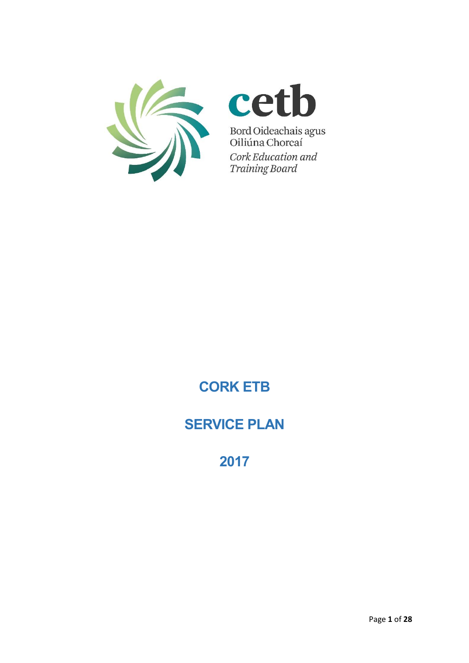

# cetb

Bord Oideachais agus<br>Oiliúna Chorcaí Cork Education and **Training Board** 

**CORK ETB**

# **SERVICE PLAN**

**2017**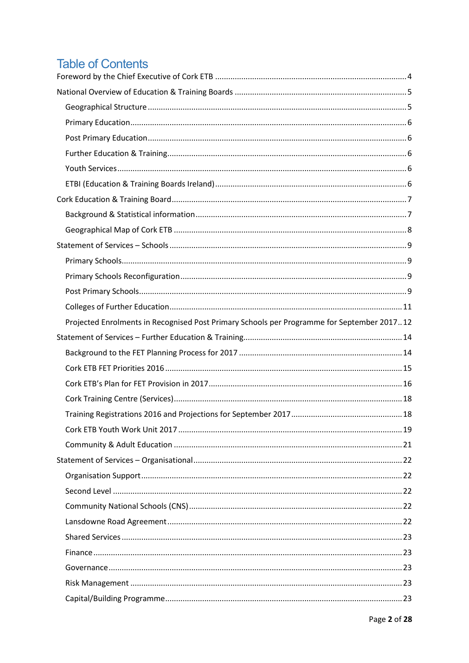# **Table of Contents**

| Projected Enrolments in Recognised Post Primary Schools per Programme for September 201712 |
|--------------------------------------------------------------------------------------------|
|                                                                                            |
|                                                                                            |
|                                                                                            |
|                                                                                            |
|                                                                                            |
|                                                                                            |
|                                                                                            |
|                                                                                            |
|                                                                                            |
|                                                                                            |
|                                                                                            |
|                                                                                            |
|                                                                                            |
|                                                                                            |
|                                                                                            |
|                                                                                            |
|                                                                                            |
|                                                                                            |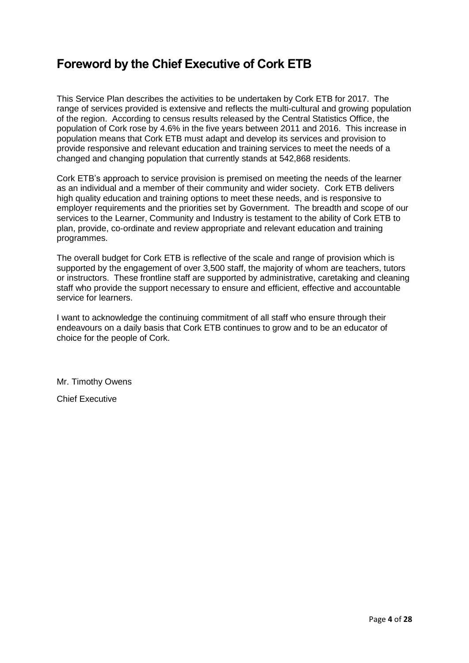# <span id="page-3-0"></span>**Foreword by the Chief Executive of Cork ETB**

This Service Plan describes the activities to be undertaken by Cork ETB for 2017. The range of services provided is extensive and reflects the multi-cultural and growing population of the region. According to census results released by the Central Statistics Office, the population of Cork rose by 4.6% in the five years between 2011 and 2016. This increase in population means that Cork ETB must adapt and develop its services and provision to provide responsive and relevant education and training services to meet the needs of a changed and changing population that currently stands at 542,868 residents.

Cork ETB's approach to service provision is premised on meeting the needs of the learner as an individual and a member of their community and wider society. Cork ETB delivers high quality education and training options to meet these needs, and is responsive to employer requirements and the priorities set by Government. The breadth and scope of our services to the Learner, Community and Industry is testament to the ability of Cork ETB to plan, provide, co-ordinate and review appropriate and relevant education and training programmes.

The overall budget for Cork ETB is reflective of the scale and range of provision which is supported by the engagement of over 3,500 staff, the majority of whom are teachers, tutors or instructors. These frontline staff are supported by administrative, caretaking and cleaning staff who provide the support necessary to ensure and efficient, effective and accountable service for learners.

I want to acknowledge the continuing commitment of all staff who ensure through their endeavours on a daily basis that Cork ETB continues to grow and to be an educator of choice for the people of Cork.

Mr. Timothy Owens

Chief Executive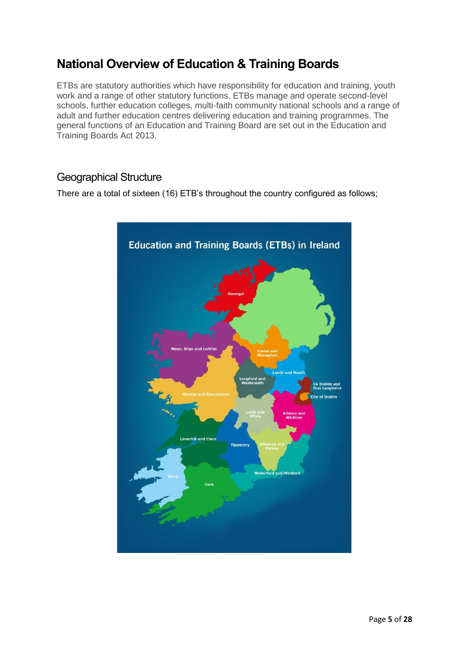# <span id="page-4-0"></span>**National Overview of Education & Training Boards**

ETBs are statutory authorities which have responsibility for education and training, youth work and a range of other statutory functions. ETBs manage and operate second-level schools, further education colleges, multi-faith community national schools and a range of adult and further education centres delivering education and training programmes. The general functions of an Education and Training Board are set out in the Education and Training Boards Act 2013.

## <span id="page-4-1"></span>Geographical Structure

There are a total of sixteen (16) ETB's throughout the country configured as follows;

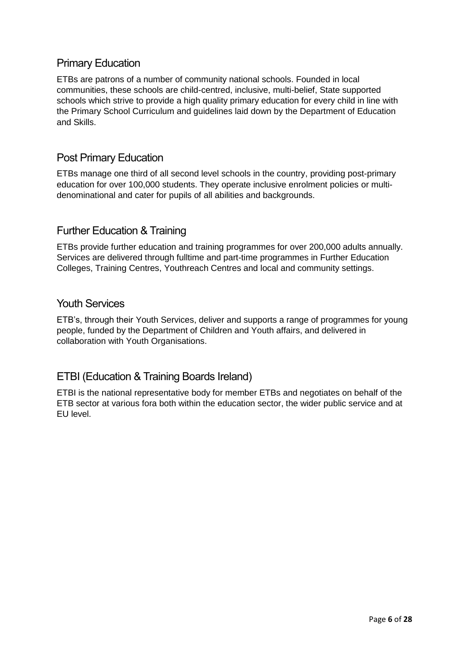# <span id="page-5-0"></span>Primary Education

ETBs are patrons of a number of community national schools. Founded in local communities, these schools are child-centred, inclusive, multi-belief, State supported schools which strive to provide a high quality primary education for every child in line with the Primary School Curriculum and guidelines laid down by the Department of Education and Skills.

# <span id="page-5-1"></span>Post Primary Education

ETBs manage one third of all second level schools in the country, providing post-primary education for over 100,000 students. They operate inclusive enrolment policies or multidenominational and cater for pupils of all abilities and backgrounds.

## <span id="page-5-2"></span>Further Education & Training

ETBs provide further education and training programmes for over 200,000 adults annually. Services are delivered through fulltime and part-time programmes in Further Education Colleges, Training Centres, Youthreach Centres and local and community settings.

#### <span id="page-5-3"></span>Youth Services

ETB's, through their Youth Services, deliver and supports a range of programmes for young people, funded by the Department of Children and Youth affairs, and delivered in collaboration with Youth Organisations.

## <span id="page-5-4"></span>ETBI (Education & Training Boards Ireland)

ETBI is the national representative body for member ETBs and negotiates on behalf of the ETB sector at various fora both within the education sector, the wider public service and at EU level.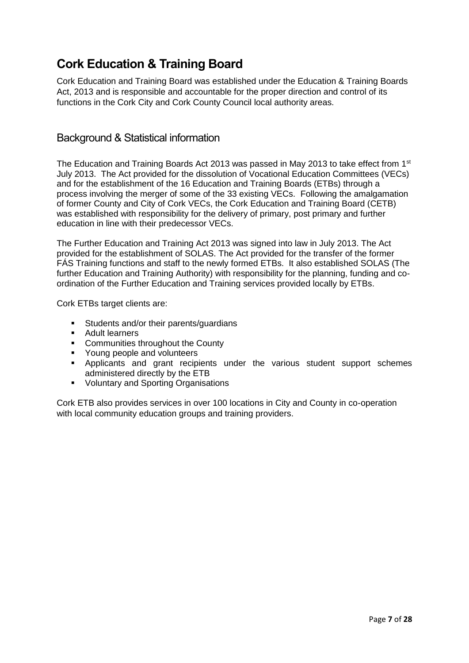# <span id="page-6-0"></span>**Cork Education & Training Board**

Cork Education and Training Board was established under the Education & Training Boards Act, 2013 and is responsible and accountable for the proper direction and control of its functions in the Cork City and Cork County Council local authority areas.

### <span id="page-6-1"></span>Background & Statistical information

The Education and Training Boards Act 2013 was passed in May 2013 to take effect from 1<sup>st</sup> July 2013. The Act provided for the dissolution of Vocational Education Committees (VECs) and for the establishment of the 16 Education and Training Boards (ETBs) through a process involving the merger of some of the 33 existing VECs. Following the amalgamation of former County and City of Cork VECs, the Cork Education and Training Board (CETB) was established with responsibility for the delivery of primary, post primary and further education in line with their predecessor VECs.

The Further Education and Training Act 2013 was signed into law in July 2013. The Act provided for the establishment of SOLAS. The Act provided for the transfer of the former FÁS Training functions and staff to the newly formed ETBs. It also established SOLAS (The further Education and Training Authority) with responsibility for the planning, funding and coordination of the Further Education and Training services provided locally by ETBs.

Cork ETBs target clients are:

- Students and/or their parents/guardians
- **Adult learners**
- **EXECOMMUNITY COMMUNITY** Communities throughout the County
- **•** Young people and volunteers
- **•** Applicants and grant recipients under the various student support schemes administered directly by the ETB
- **Voluntary and Sporting Organisations**

Cork ETB also provides services in over 100 locations in City and County in co-operation with local community education groups and training providers.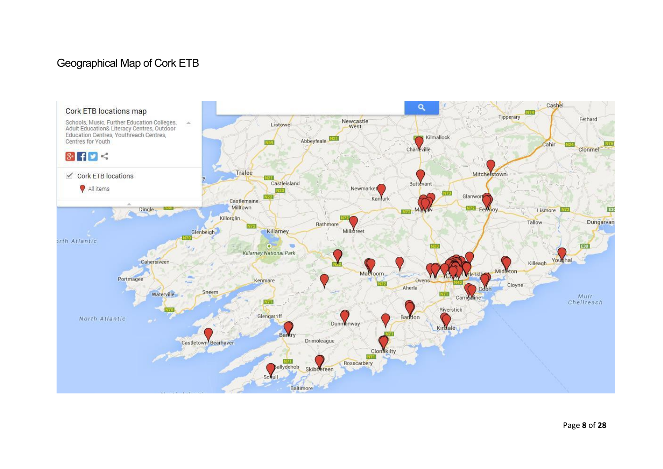# Geographical Map of Cork ETB

<span id="page-7-0"></span>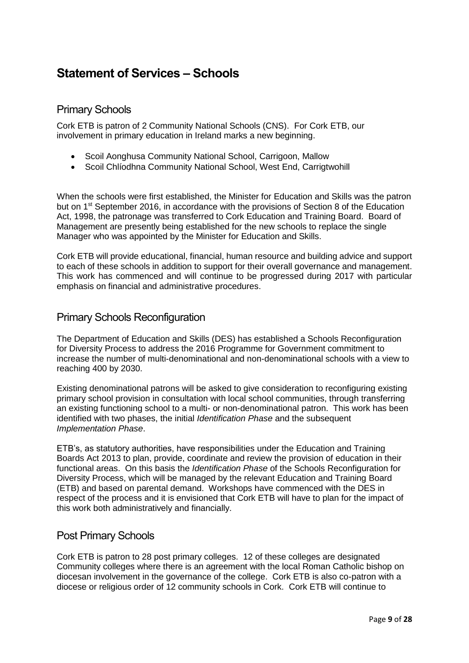# <span id="page-8-0"></span>**Statement of Services – Schools**

### <span id="page-8-1"></span>Primary Schools

Cork ETB is patron of 2 Community National Schools (CNS). For Cork ETB, our involvement in primary education in Ireland marks a new beginning.

- Scoil Aonghusa Community National School, Carrigoon, Mallow
- Scoil Chlíodhna Community National School, West End, Carrigtwohill

When the schools were first established, the Minister for Education and Skills was the patron but on 1<sup>st</sup> September 2016, in accordance with the provisions of Section 8 of the Education Act, 1998, the patronage was transferred to Cork Education and Training Board. Board of Management are presently being established for the new schools to replace the single Manager who was appointed by the Minister for Education and Skills.

Cork ETB will provide educational, financial, human resource and building advice and support to each of these schools in addition to support for their overall governance and management. This work has commenced and will continue to be progressed during 2017 with particular emphasis on financial and administrative procedures.

#### <span id="page-8-2"></span>Primary Schools Reconfiguration

The Department of Education and Skills (DES) has established a Schools Reconfiguration for Diversity Process to address the 2016 Programme for Government commitment to increase the number of multi-denominational and non-denominational schools with a view to reaching 400 by 2030.

Existing denominational patrons will be asked to give consideration to reconfiguring existing primary school provision in consultation with local school communities, through transferring an existing functioning school to a multi- or non-denominational patron. This work has been identified with two phases, the initial *Identification Phase* and the subsequent *Implementation Phase*.

ETB's, as statutory authorities, have responsibilities under the Education and Training Boards Act 2013 to plan, provide, coordinate and review the provision of education in their functional areas. On this basis the *Identification Phase* of the Schools Reconfiguration for Diversity Process, which will be managed by the relevant Education and Training Board (ETB) and based on parental demand. Workshops have commenced with the DES in respect of the process and it is envisioned that Cork ETB will have to plan for the impact of this work both administratively and financially.

#### <span id="page-8-3"></span>Post Primary Schools

Cork ETB is patron to 28 post primary colleges. 12 of these colleges are designated Community colleges where there is an agreement with the local Roman Catholic bishop on diocesan involvement in the governance of the college. Cork ETB is also co-patron with a diocese or religious order of 12 community schools in Cork. Cork ETB will continue to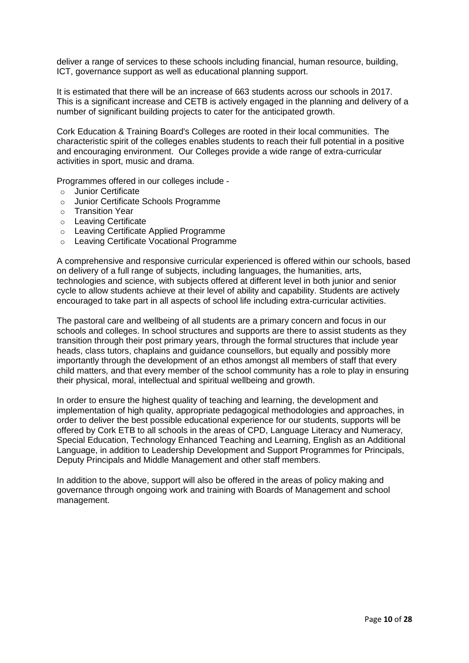deliver a range of services to these schools including financial, human resource, building, ICT, governance support as well as educational planning support.

It is estimated that there will be an increase of 663 students across our schools in 2017. This is a significant increase and CETB is actively engaged in the planning and delivery of a number of significant building projects to cater for the anticipated growth.

Cork Education & Training Board's Colleges are rooted in their local communities. The characteristic spirit of the colleges enables students to reach their full potential in a positive and encouraging environment. Our Colleges provide a wide range of extra-curricular activities in sport, music and drama.

Programmes offered in our colleges include -

- o Junior Certificate
- o Junior Certificate Schools Programme
- o Transition Year
- o Leaving Certificate
- o Leaving Certificate Applied Programme
- o Leaving Certificate Vocational Programme

A comprehensive and responsive curricular experienced is offered within our schools, based on delivery of a full range of subjects, including languages, the humanities, arts, technologies and science, with subjects offered at different level in both junior and senior cycle to allow students achieve at their level of ability and capability. Students are actively encouraged to take part in all aspects of school life including extra-curricular activities.

The pastoral care and wellbeing of all students are a primary concern and focus in our schools and colleges. In school structures and supports are there to assist students as they transition through their post primary years, through the formal structures that include year heads, class tutors, chaplains and guidance counsellors, but equally and possibly more importantly through the development of an ethos amongst all members of staff that every child matters, and that every member of the school community has a role to play in ensuring their physical, moral, intellectual and spiritual wellbeing and growth.

In order to ensure the highest quality of teaching and learning, the development and implementation of high quality, appropriate pedagogical methodologies and approaches, in order to deliver the best possible educational experience for our students, supports will be offered by Cork ETB to all schools in the areas of CPD, Language Literacy and Numeracy, Special Education, Technology Enhanced Teaching and Learning, English as an Additional Language, in addition to Leadership Development and Support Programmes for Principals, Deputy Principals and Middle Management and other staff members.

In addition to the above, support will also be offered in the areas of policy making and governance through ongoing work and training with Boards of Management and school management.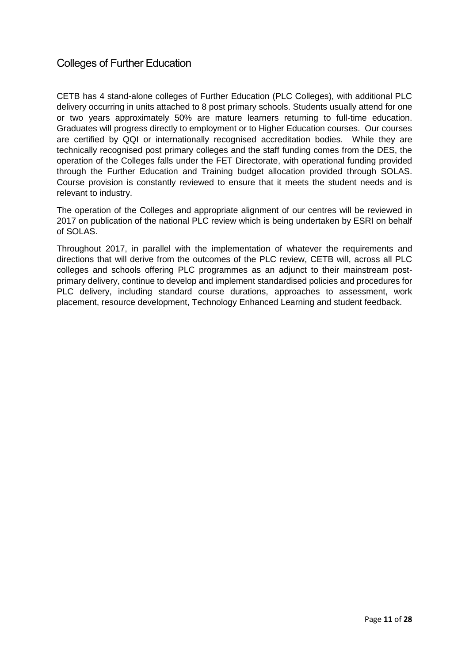## <span id="page-10-0"></span>Colleges of Further Education

CETB has 4 stand-alone colleges of Further Education (PLC Colleges), with additional PLC delivery occurring in units attached to 8 post primary schools. Students usually attend for one or two years approximately 50% are mature learners returning to full-time education. Graduates will progress directly to employment or to Higher Education courses. Our courses are certified by QQI or internationally recognised accreditation bodies. While they are technically recognised post primary colleges and the staff funding comes from the DES, the operation of the Colleges falls under the FET Directorate, with operational funding provided through the Further Education and Training budget allocation provided through SOLAS. Course provision is constantly reviewed to ensure that it meets the student needs and is relevant to industry.

The operation of the Colleges and appropriate alignment of our centres will be reviewed in 2017 on publication of the national PLC review which is being undertaken by ESRI on behalf of SOLAS.

Throughout 2017, in parallel with the implementation of whatever the requirements and directions that will derive from the outcomes of the PLC review, CETB will, across all PLC colleges and schools offering PLC programmes as an adjunct to their mainstream postprimary delivery, continue to develop and implement standardised policies and procedures for PLC delivery, including standard course durations, approaches to assessment, work placement, resource development, Technology Enhanced Learning and student feedback.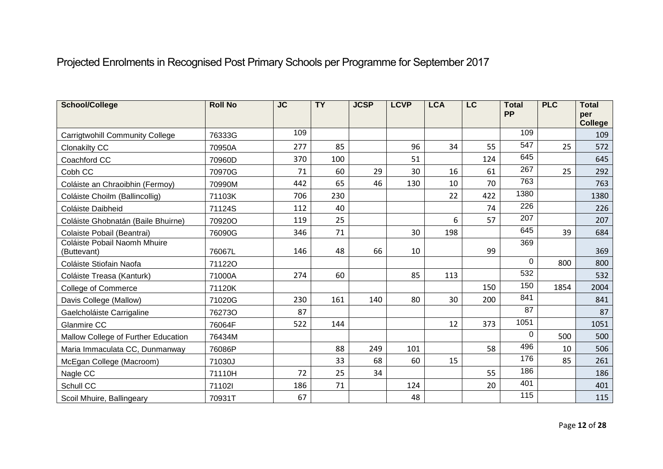# Projected Enrolments in Recognised Post Primary Schools per Programme for September 2017

<span id="page-11-0"></span>

| <b>School/College</b>                       | <b>Roll No</b> | <b>JC</b> | $\overline{TY}$ | <b>JCSP</b> | <b>LCVP</b> | <b>LCA</b> | LC  | <b>Total</b><br><b>PP</b> | <b>PLC</b> | <b>Total</b><br>per   |
|---------------------------------------------|----------------|-----------|-----------------|-------------|-------------|------------|-----|---------------------------|------------|-----------------------|
|                                             |                | 109       |                 |             |             |            |     | 109                       |            | <b>College</b><br>109 |
| <b>Carrigtwohill Community College</b>      | 76333G         |           |                 |             |             |            |     | 547                       |            |                       |
| <b>Clonakilty CC</b>                        | 70950A         | 277       | 85              |             | 96          | 34         | 55  | 645                       | 25         | 572                   |
| Coachford CC                                | 70960D         | 370       | 100             |             | 51          |            | 124 |                           |            | 645                   |
| Cobh CC                                     | 70970G         | 71        | 60              | 29          | 30          | 16         | 61  | 267                       | 25         | 292                   |
| Coláiste an Chraoibhin (Fermoy)             | 70990M         | 442       | 65              | 46          | 130         | 10         | 70  | 763                       |            | 763                   |
| Coláiste Choilm (Ballincollig)              | 71103K         | 706       | 230             |             |             | 22         | 422 | 1380                      |            | 1380                  |
| Coláiste Daibheid                           | 71124S         | 112       | 40              |             |             |            | 74  | 226                       |            | 226                   |
| Coláiste Ghobnatán (Baile Bhuirne)          | 70920O         | 119       | 25              |             |             | 6          | 57  | 207                       |            | 207                   |
| Colaiste Pobail (Beantrai)                  | 76090G         | 346       | 71              |             | 30          | 198        |     | 645                       | 39         | 684                   |
| Coláiste Pobail Naomh Mhuire<br>(Buttevant) | 76067L         | 146       | 48              | 66          | 10          |            | 99  | 369                       |            | 369                   |
| Coláiste Stiofain Naofa                     | 711220         |           |                 |             |             |            |     | $\mathbf 0$               | 800        | 800                   |
| Coláiste Treasa (Kanturk)                   | 71000A         | 274       | 60              |             | 85          | 113        |     | 532                       |            | 532                   |
| <b>College of Commerce</b>                  | 71120K         |           |                 |             |             |            | 150 | 150                       | 1854       | 2004                  |
| Davis College (Mallow)                      | 71020G         | 230       | 161             | 140         | 80          | 30         | 200 | 841                       |            | 841                   |
| Gaelcholáiste Carrigaline                   | 762730         | 87        |                 |             |             |            |     | 87                        |            | 87                    |
| Glanmire CC                                 | 76064F         | 522       | 144             |             |             | 12         | 373 | 1051                      |            | 1051                  |
| Mallow College of Further Education         | 76434M         |           |                 |             |             |            |     | 0                         | 500        | 500                   |
| Maria Immaculata CC, Dunmanway              | 76086P         |           | 88              | 249         | 101         |            | 58  | 496                       | 10         | 506                   |
| McEgan College (Macroom)                    | 71030J         |           | 33              | 68          | 60          | 15         |     | 176                       | 85         | 261                   |
| Nagle CC                                    | 71110H         | 72        | 25              | 34          |             |            | 55  | 186                       |            | 186                   |
| Schull CC                                   | 711021         | 186       | 71              |             | 124         |            | 20  | 401                       |            | 401                   |
| Scoil Mhuire, Ballingeary                   | 70931T         | 67        |                 |             | 48          |            |     | 115                       |            | 115                   |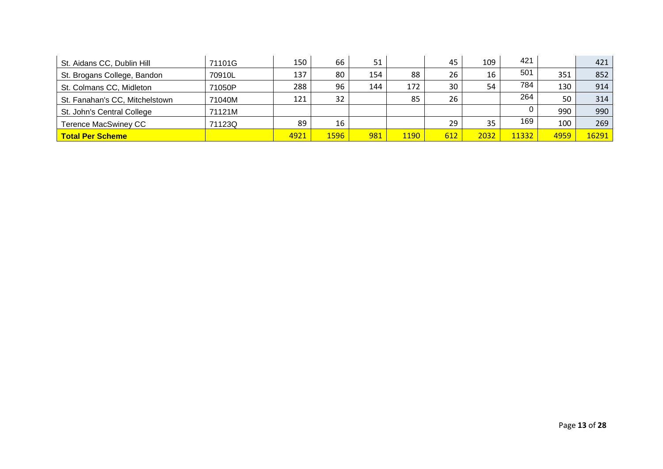| St. Aidans CC, Dublin Hill     | 71101G | 150  | 66   | 51  |             | 45  | 109  | 421   |      | 421   |
|--------------------------------|--------|------|------|-----|-------------|-----|------|-------|------|-------|
| St. Brogans College, Bandon    | 70910L | 137  | 80   | 154 | 88          | 26  | 16   | 501   | 351  | 852   |
| St. Colmans CC, Midleton       | 71050P | 288  | 96   | 144 | 172         | 30  | 54   | 784   | 130  | 914   |
| St. Fanahan's CC, Mitchelstown | 71040M | 121  | 32   |     | 85          | 26  |      | 264   | 50   | 314   |
| St. John's Central College     | 71121M |      |      |     |             |     |      |       | 990  | 990   |
| Terence MacSwiney CC           | 71123Q | 89   | 16   |     |             | 29  | 35   | 169   | 100  | 269   |
| <b>Total Per Scheme</b>        |        | 4921 | 1596 | 981 | <b>1190</b> | 612 | 2032 | 11332 | 4959 | 16291 |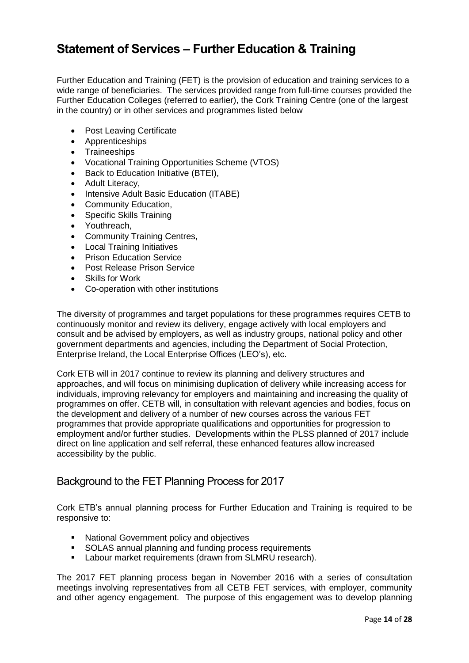# <span id="page-13-0"></span>**Statement of Services – Further Education & Training**

Further Education and Training (FET) is the provision of education and training services to a wide range of beneficiaries. The services provided range from full-time courses provided the Further Education Colleges (referred to earlier), the Cork Training Centre (one of the largest in the country) or in other services and programmes listed below

- Post Leaving Certificate
- Apprenticeships
- Traineeships
- Vocational Training Opportunities Scheme (VTOS)
- Back to Education Initiative (BTEI),
- Adult Literacy,
- Intensive Adult Basic Education (ITABE)
- Community Education,
- Specific Skills Training
- Youthreach,
- Community Training Centres,
- Local Training Initiatives
- Prison Education Service
- **•** Post Release Prison Service
- Skills for Work
- Co-operation with other institutions

The diversity of programmes and target populations for these programmes requires CETB to continuously monitor and review its delivery, engage actively with local employers and consult and be advised by employers, as well as industry groups, national policy and other government departments and agencies, including the Department of Social Protection, Enterprise Ireland, the Local Enterprise Offices (LEO's), etc.

Cork ETB will in 2017 continue to review its planning and delivery structures and approaches, and will focus on minimising duplication of delivery while increasing access for individuals, improving relevancy for employers and maintaining and increasing the quality of programmes on offer. CETB will, in consultation with relevant agencies and bodies, focus on the development and delivery of a number of new courses across the various FET programmes that provide appropriate qualifications and opportunities for progression to employment and/or further studies. Developments within the PLSS planned of 2017 include direct on line application and self referral, these enhanced features allow increased accessibility by the public.

#### <span id="page-13-1"></span>Background to the FET Planning Process for 2017

Cork ETB's annual planning process for Further Education and Training is required to be responsive to:

- **National Government policy and objectives**
- **SOLAS** annual planning and funding process requirements
- **Labour market requirements (drawn from SLMRU research).**

The 2017 FET planning process began in November 2016 with a series of consultation meetings involving representatives from all CETB FET services, with employer, community and other agency engagement. The purpose of this engagement was to develop planning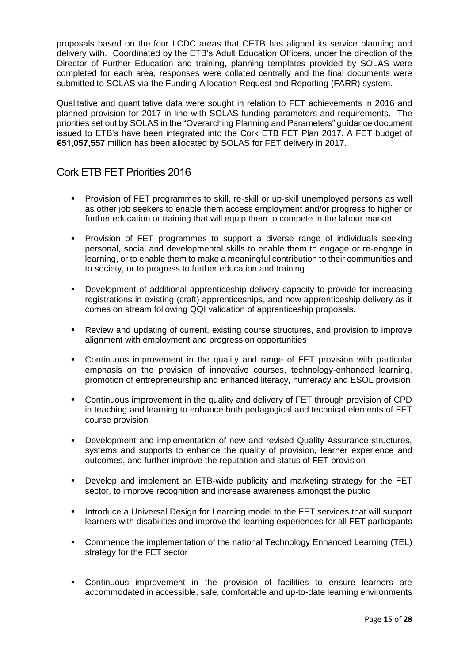proposals based on the four LCDC areas that CETB has aligned its service planning and delivery with. Coordinated by the ETB's Adult Education Officers, under the direction of the Director of Further Education and training, planning templates provided by SOLAS were completed for each area, responses were collated centrally and the final documents were submitted to SOLAS via the Funding Allocation Request and Reporting (FARR) system.

Qualitative and quantitative data were sought in relation to FET achievements in 2016 and planned provision for 2017 in line with SOLAS funding parameters and requirements. The priorities set out by SOLAS in the "Overarching Planning and Parameters" guidance document issued to ETB's have been integrated into the Cork ETB FET Plan 2017. A FET budget of **€51,057,557** million has been allocated by SOLAS for FET delivery in 2017.

## <span id="page-14-0"></span>Cork ETB FET Priorities 2016

- Provision of FET programmes to skill, re-skill or up-skill unemployed persons as well as other job seekers to enable them access employment and/or progress to higher or further education or training that will equip them to compete in the labour market
- Provision of FET programmes to support a diverse range of individuals seeking personal, social and developmental skills to enable them to engage or re-engage in learning, or to enable them to make a meaningful contribution to their communities and to society, or to progress to further education and training
- Development of additional apprenticeship delivery capacity to provide for increasing registrations in existing (craft) apprenticeships, and new apprenticeship delivery as it comes on stream following QQI validation of apprenticeship proposals.
- Review and updating of current, existing course structures, and provision to improve alignment with employment and progression opportunities
- Continuous improvement in the quality and range of FET provision with particular emphasis on the provision of innovative courses, technology-enhanced learning, promotion of entrepreneurship and enhanced literacy, numeracy and ESOL provision
- Continuous improvement in the quality and delivery of FET through provision of CPD in teaching and learning to enhance both pedagogical and technical elements of FET course provision
- Development and implementation of new and revised Quality Assurance structures, systems and supports to enhance the quality of provision, learner experience and outcomes, and further improve the reputation and status of FET provision
- Develop and implement an ETB-wide publicity and marketing strategy for the FET sector, to improve recognition and increase awareness amongst the public
- **Introduce a Universal Design for Learning model to the FET services that will support** learners with disabilities and improve the learning experiences for all FET participants
- Commence the implementation of the national Technology Enhanced Learning (TEL) strategy for the FET sector
- Continuous improvement in the provision of facilities to ensure learners are accommodated in accessible, safe, comfortable and up-to-date learning environments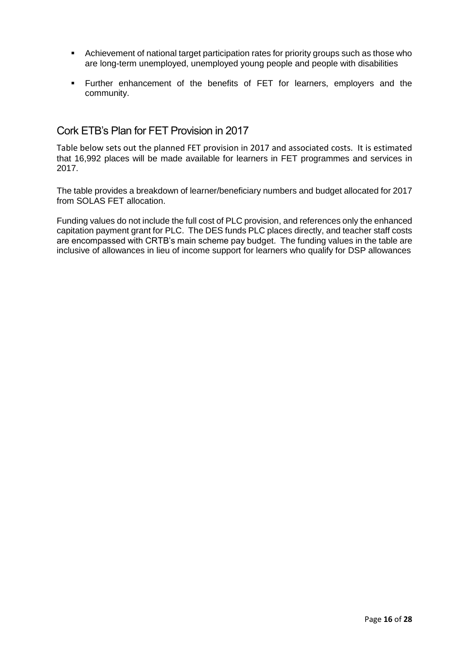- Achievement of national target participation rates for priority groups such as those who are long-term unemployed, unemployed young people and people with disabilities
- Further enhancement of the benefits of FET for learners, employers and the community.

### <span id="page-15-0"></span>Cork ETB's Plan for FET Provision in 2017

Table below sets out the planned FET provision in 2017 and associated costs. It is estimated that 16,992 places will be made available for learners in FET programmes and services in 2017.

The table provides a breakdown of learner/beneficiary numbers and budget allocated for 2017 from SOLAS FET allocation.

Funding values do not include the full cost of PLC provision, and references only the enhanced capitation payment grant for PLC. The DES funds PLC places directly, and teacher staff costs are encompassed with CRTB's main scheme pay budget. The funding values in the table are inclusive of allowances in lieu of income support for learners who qualify for DSP allowances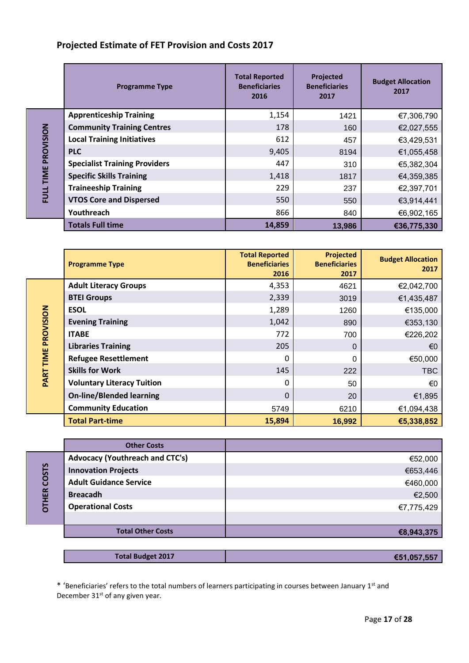### **Projected Estimate of FET Provision and Costs 2017**

|                     | <b>Programme Type</b>                | <b>Total Reported</b><br><b>Beneficiaries</b><br>2016 | Projected<br><b>Beneficiaries</b><br>2017 | <b>Budget Allocation</b><br>2017 |
|---------------------|--------------------------------------|-------------------------------------------------------|-------------------------------------------|----------------------------------|
|                     | <b>Apprenticeship Training</b>       | 1,154                                                 | 1421                                      | €7,306,790                       |
|                     | <b>Community Training Centres</b>    | 178                                                   | 160                                       | €2,027,555                       |
|                     | <b>Local Training Initiatives</b>    | 612                                                   | 457                                       | €3,429,531                       |
|                     | <b>PLC</b>                           | 9,405                                                 | 8194                                      | €1,055,458                       |
|                     | <b>Specialist Training Providers</b> | 447                                                   | 310                                       | €5,382,304                       |
| FULL TIME PROVISION | <b>Specific Skills Training</b>      | 1,418                                                 | 1817                                      | €4,359,385                       |
|                     | <b>Traineeship Training</b>          | 229                                                   | 237                                       | €2,397,701                       |
|                     | <b>VTOS Core and Dispersed</b>       | 550                                                   | 550                                       | €3,914,441                       |
|                     | Youthreach                           | 866                                                   | 840                                       | €6,902,165                       |
|                     | <b>Totals Full time</b>              | 14,859                                                | 13,986                                    | €36,775,330                      |

|                  | <b>Programme Type</b>             | <b>Total Reported</b><br><b>Beneficiaries</b><br>2016 | <b>Projected</b><br><b>Beneficiaries</b><br>2017 | <b>Budget Allocation</b><br>2017 |
|------------------|-----------------------------------|-------------------------------------------------------|--------------------------------------------------|----------------------------------|
|                  | <b>Adult Literacy Groups</b>      | 4,353                                                 | 4621                                             | €2,042,700                       |
|                  | <b>BTEI Groups</b>                | 2,339                                                 | 3019                                             | €1,435,487                       |
|                  | <b>ESOL</b>                       | 1,289                                                 | 1260                                             | €135,000                         |
| PROVISION        | <b>Evening Training</b>           | 1,042                                                 | 890                                              | €353,130                         |
|                  | <b>ITABE</b>                      | 772                                                   | 700                                              | €226,202                         |
|                  | <b>Libraries Training</b>         | 205                                                   | $\Omega$                                         | €0                               |
| <b>PART TIME</b> | <b>Refugee Resettlement</b>       | 0                                                     | 0                                                | €50,000                          |
|                  | <b>Skills for Work</b>            | 145                                                   | 222                                              | <b>TBC</b>                       |
|                  | <b>Voluntary Literacy Tuition</b> | 0                                                     | 50                                               | €0                               |
|                  | <b>On-line/Blended learning</b>   | $\Omega$                                              | 20                                               | €1,895                           |
|                  | <b>Community Education</b>        | 5749                                                  | 6210                                             | €1,094,438                       |
|                  | <b>Total Part-time</b>            | 15,894                                                | 16,992                                           | €5,338,852                       |

**Other Costs Advocacy (Youthreach and CTC's)** and  $\blacksquare$  and  $\blacksquare$  and  $\blacksquare$  and  $\blacksquare$  and  $\blacksquare$  and  $\blacksquare$  and  $\blacksquare$  and  $\blacksquare$  and  $\blacksquare$  and  $\blacksquare$  and  $\blacksquare$  and  $\blacksquare$  and  $\blacksquare$  and  $\blacksquare$  and  $\blacksquare$  and  $\blacksquare$  and  $\blacksquare$  OTHER COSTS **OTHER COSTS Innovation Projects E** and the contract of the contract of the contract of the contract of the contract of the contract of the contract of the contract of the contract of the contract of the contract of the contract of **Adult Guidance Service** €460,000 **Breacadh** €2,500 **Operational Costs** €7,775,429 **Total Other Costs €8,943,375**

| <b>Total Budget 2017</b><br>€51,057,557 |
|-----------------------------------------|
|-----------------------------------------|

\* 'Beneficiaries' refers to the total numbers of learners participating in courses between January 1st and December 31<sup>st</sup> of any given year.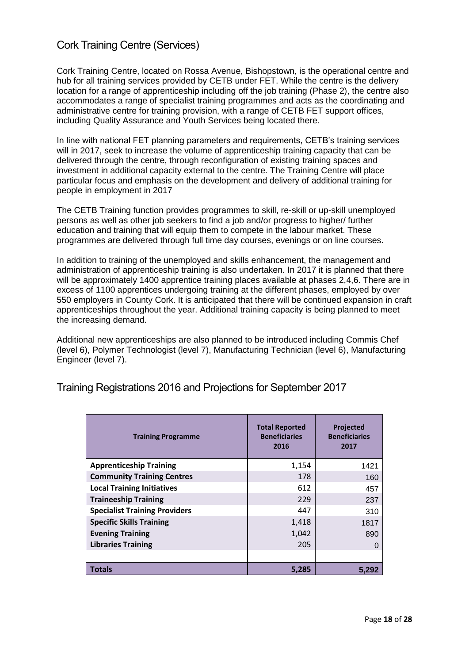# <span id="page-17-0"></span>Cork Training Centre (Services)

Cork Training Centre, located on Rossa Avenue, Bishopstown, is the operational centre and hub for all training services provided by CETB under FET. While the centre is the delivery location for a range of apprenticeship including off the job training (Phase 2), the centre also accommodates a range of specialist training programmes and acts as the coordinating and administrative centre for training provision, with a range of CETB FET support offices, including Quality Assurance and Youth Services being located there.

In line with national FET planning parameters and requirements, CETB's training services will in 2017, seek to increase the volume of apprenticeship training capacity that can be delivered through the centre, through reconfiguration of existing training spaces and investment in additional capacity external to the centre. The Training Centre will place particular focus and emphasis on the development and delivery of additional training for people in employment in 2017

The CETB Training function provides programmes to skill, re-skill or up-skill unemployed persons as well as other job seekers to find a job and/or progress to higher/ further education and training that will equip them to compete in the labour market. These programmes are delivered through full time day courses, evenings or on line courses.

In addition to training of the unemployed and skills enhancement, the management and administration of apprenticeship training is also undertaken. In 2017 it is planned that there will be approximately 1400 apprentice training places available at phases 2,4,6. There are in excess of 1100 apprentices undergoing training at the different phases, employed by over 550 employers in County Cork. It is anticipated that there will be continued expansion in craft apprenticeships throughout the year. Additional training capacity is being planned to meet the increasing demand.

Additional new apprenticeships are also planned to be introduced including Commis Chef (level 6), Polymer Technologist (level 7), Manufacturing Technician (level 6), Manufacturing Engineer (level 7).

| <b>Training Programme</b>            | <b>Total Reported</b><br><b>Beneficiaries</b><br>2016 | Projected<br><b>Beneficiaries</b><br>2017 |
|--------------------------------------|-------------------------------------------------------|-------------------------------------------|
| <b>Apprenticeship Training</b>       | 1,154                                                 | 1421                                      |
| <b>Community Training Centres</b>    | 178                                                   | 160                                       |
| <b>Local Training Initiatives</b>    | 612                                                   | 457                                       |
| <b>Traineeship Training</b>          | 229                                                   | 237                                       |
| <b>Specialist Training Providers</b> | 447                                                   | 310                                       |
| <b>Specific Skills Training</b>      | 1,418                                                 | 1817                                      |
| <b>Evening Training</b>              | 1,042                                                 | 890                                       |
| <b>Libraries Training</b>            | 205                                                   |                                           |
|                                      |                                                       |                                           |
| <b>Totals</b>                        | 5,285                                                 | 5.292                                     |

<span id="page-17-1"></span>Training Registrations 2016 and Projections for September 2017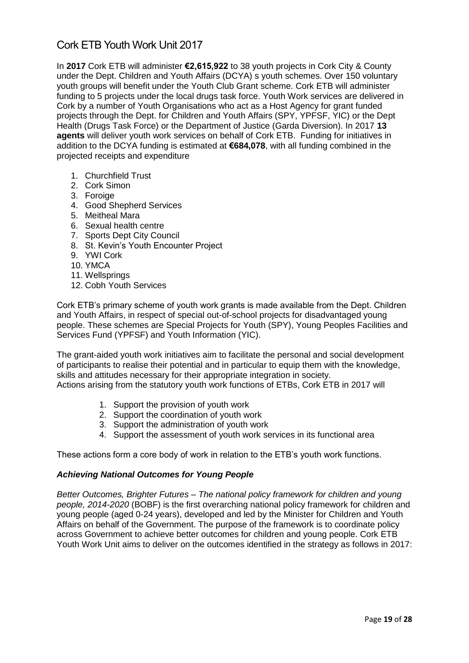## <span id="page-18-0"></span>Cork ETB Youth Work Unit 2017

In **2017** Cork ETB will administer **€2,615,922** to 38 youth projects in Cork City & County under the Dept. Children and Youth Affairs (DCYA) s youth schemes. Over 150 voluntary youth groups will benefit under the Youth Club Grant scheme. Cork ETB will administer funding to 5 projects under the local drugs task force. Youth Work services are delivered in Cork by a number of Youth Organisations who act as a Host Agency for grant funded projects through the Dept. for Children and Youth Affairs (SPY, YPFSF, YIC) or the Dept Health (Drugs Task Force) or the Department of Justice (Garda Diversion). In 2017 **13 agents** will deliver youth work services on behalf of Cork ETB.Funding for initiatives in addition to the DCYA funding is estimated at **€684,078**, with all funding combined in the projected receipts and expenditure

- 1. Churchfield Trust
- 2. Cork Simon
- 3. Foroige
- 4. Good Shepherd Services
- 5. Meitheal Mara
- 6. Sexual health centre
- 7. Sports Dept City Council
- 8. St. Kevin's Youth Encounter Project
- 9. YWI Cork
- 10. YMCA
- 11. Wellsprings
- 12. Cobh Youth Services

Cork ETB's primary scheme of youth work grants is made available from the Dept. Children and Youth Affairs, in respect of special out-of-school projects for disadvantaged young people. These schemes are Special Projects for Youth (SPY), Young Peoples Facilities and Services Fund (YPFSF) and Youth Information (YIC).

The grant-aided youth work initiatives aim to facilitate the personal and social development of participants to realise their potential and in particular to equip them with the knowledge, skills and attitudes necessary for their appropriate integration in society. Actions arising from the statutory youth work functions of ETBs, Cork ETB in 2017 will

- 1. Support the provision of youth work
- 2. Support the coordination of youth work
- 3. Support the administration of youth work
- 4. Support the assessment of youth work services in its functional area

These actions form a core body of work in relation to the ETB's youth work functions.

#### *Achieving National Outcomes for Young People*

*Better Outcomes, Brighter Futures – The national policy framework for children and young people, 2014-2020* (BOBF) is the first overarching national policy framework for children and young people (aged 0-24 years), developed and led by the Minister for Children and Youth Affairs on behalf of the Government. The purpose of the framework is to coordinate policy across Government to achieve better outcomes for children and young people. Cork ETB Youth Work Unit aims to deliver on the outcomes identified in the strategy as follows in 2017: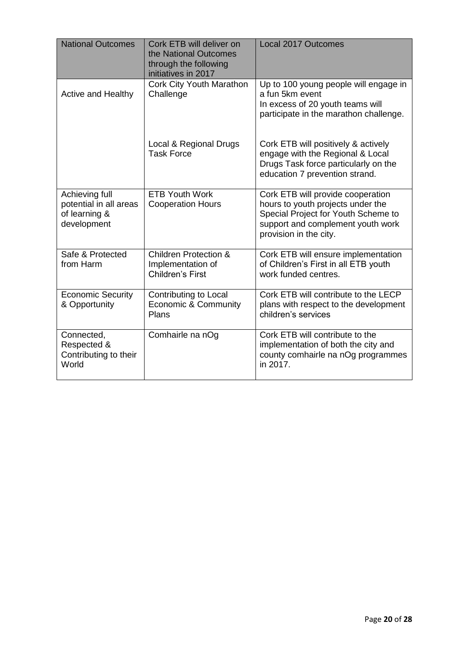| <b>National Outcomes</b>                                                 | Cork ETB will deliver on<br>the National Outcomes<br>through the following<br>initiatives in 2017 | <b>Local 2017 Outcomes</b>                                                                                                                                                   |
|--------------------------------------------------------------------------|---------------------------------------------------------------------------------------------------|------------------------------------------------------------------------------------------------------------------------------------------------------------------------------|
| Active and Healthy                                                       | Cork City Youth Marathon<br>Challenge                                                             | Up to 100 young people will engage in<br>a fun 5km event<br>In excess of 20 youth teams will<br>participate in the marathon challenge.                                       |
|                                                                          | Local & Regional Drugs<br><b>Task Force</b>                                                       | Cork ETB will positively & actively<br>engage with the Regional & Local<br>Drugs Task force particularly on the<br>education 7 prevention strand.                            |
| Achieving full<br>potential in all areas<br>of learning &<br>development | <b>ETB Youth Work</b><br><b>Cooperation Hours</b>                                                 | Cork ETB will provide cooperation<br>hours to youth projects under the<br>Special Project for Youth Scheme to<br>support and complement youth work<br>provision in the city. |
| Safe & Protected<br>from Harm                                            | Children Protection &<br>Implementation of<br>Children's First                                    | Cork ETB will ensure implementation<br>of Children's First in all ETB youth<br>work funded centres.                                                                          |
| <b>Economic Security</b><br>& Opportunity                                | Contributing to Local<br><b>Economic &amp; Community</b><br>Plans                                 | Cork ETB will contribute to the LECP<br>plans with respect to the development<br>children's services                                                                         |
| Connected,<br>Respected &<br>Contributing to their<br>World              | Comhairle na nOg                                                                                  | Cork ETB will contribute to the<br>implementation of both the city and<br>county comhairle na nOg programmes<br>in 2017.                                                     |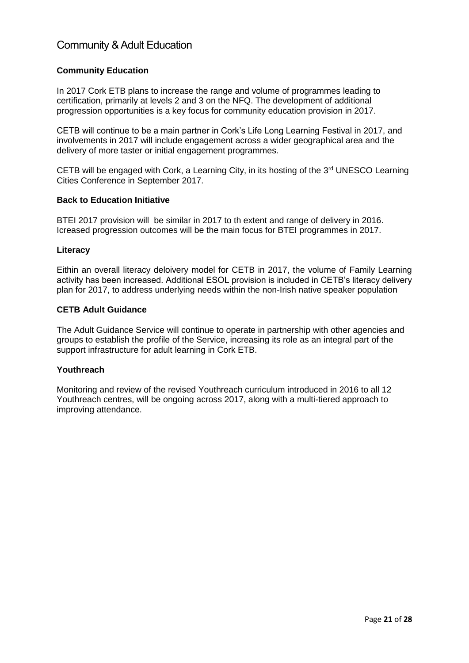# <span id="page-20-0"></span>Community & Adult Education

#### **Community Education**

In 2017 Cork ETB plans to increase the range and volume of programmes leading to certification, primarily at levels 2 and 3 on the NFQ. The development of additional progression opportunities is a key focus for community education provision in 2017.

CETB will continue to be a main partner in Cork's Life Long Learning Festival in 2017, and involvements in 2017 will include engagement across a wider geographical area and the delivery of more taster or initial engagement programmes.

CETB will be engaged with Cork, a Learning City, in its hosting of the  $3<sup>rd</sup>$  UNESCO Learning Cities Conference in September 2017.

#### **Back to Education Initiative**

BTEI 2017 provision will be similar in 2017 to th extent and range of delivery in 2016. Icreased progression outcomes will be the main focus for BTEI programmes in 2017.

#### **Literacy**

Eithin an overall literacy deloivery model for CETB in 2017, the volume of Family Learning activity has been increased. Additional ESOL provision is included in CETB's literacy delivery plan for 2017, to address underlying needs within the non-Irish native speaker population

#### **CETB Adult Guidance**

The Adult Guidance Service will continue to operate in partnership with other agencies and groups to establish the profile of the Service, increasing its role as an integral part of the support infrastructure for adult learning in Cork ETB.

#### **Youthreach**

Monitoring and review of the revised Youthreach curriculum introduced in 2016 to all 12 Youthreach centres, will be ongoing across 2017, along with a multi-tiered approach to improving attendance.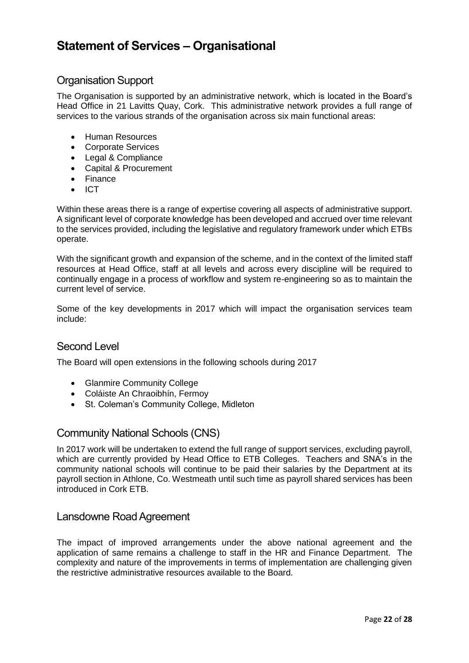# <span id="page-21-0"></span>**Statement of Services – Organisational**

## <span id="page-21-1"></span>Organisation Support

The Organisation is supported by an administrative network, which is located in the Board's Head Office in 21 Lavitts Quay, Cork. This administrative network provides a full range of services to the various strands of the organisation across six main functional areas:

- Human Resources
- Corporate Services
- Legal & Compliance
- Capital & Procurement
- Finance
- $\bullet$  ICT

Within these areas there is a range of expertise covering all aspects of administrative support. A significant level of corporate knowledge has been developed and accrued over time relevant to the services provided, including the legislative and regulatory framework under which ETBs operate.

With the significant growth and expansion of the scheme, and in the context of the limited staff resources at Head Office, staff at all levels and across every discipline will be required to continually engage in a process of workflow and system re-engineering so as to maintain the current level of service.

Some of the key developments in 2017 which will impact the organisation services team include:

#### <span id="page-21-2"></span>Second Level

The Board will open extensions in the following schools during 2017

- Glanmire Community College
- Coláiste An Chraoibhín, Fermoy
- St. Coleman's Community College, Midleton

### <span id="page-21-3"></span>Community National Schools (CNS)

In 2017 work will be undertaken to extend the full range of support services, excluding payroll, which are currently provided by Head Office to ETB Colleges. Teachers and SNA's in the community national schools will continue to be paid their salaries by the Department at its payroll section in Athlone, Co. Westmeath until such time as payroll shared services has been introduced in Cork ETB.

#### <span id="page-21-4"></span>Lansdowne Road Agreement

The impact of improved arrangements under the above national agreement and the application of same remains a challenge to staff in the HR and Finance Department. The complexity and nature of the improvements in terms of implementation are challenging given the restrictive administrative resources available to the Board.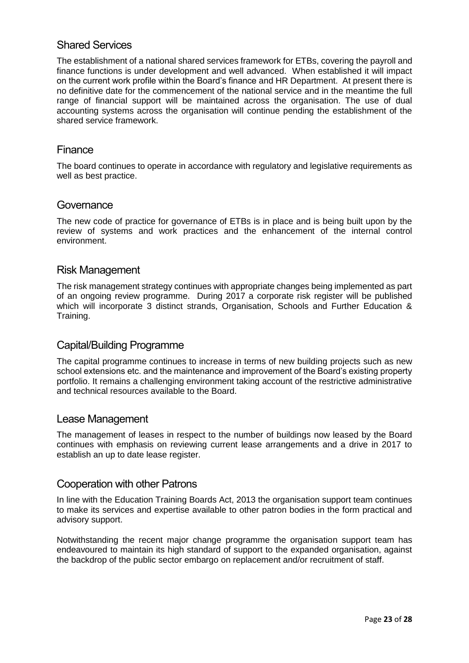## <span id="page-22-0"></span>Shared Services

The establishment of a national shared services framework for ETBs, covering the payroll and finance functions is under development and well advanced. When established it will impact on the current work profile within the Board's finance and HR Department. At present there is no definitive date for the commencement of the national service and in the meantime the full range of financial support will be maintained across the organisation. The use of dual accounting systems across the organisation will continue pending the establishment of the shared service framework.

#### <span id="page-22-1"></span>Finance

The board continues to operate in accordance with regulatory and legislative requirements as well as best practice.

#### <span id="page-22-2"></span>Governance

The new code of practice for governance of ETBs is in place and is being built upon by the review of systems and work practices and the enhancement of the internal control environment.

#### <span id="page-22-3"></span>Risk Management

The risk management strategy continues with appropriate changes being implemented as part of an ongoing review programme. During 2017 a corporate risk register will be published which will incorporate 3 distinct strands, Organisation, Schools and Further Education & Training.

#### <span id="page-22-4"></span>Capital/Building Programme

The capital programme continues to increase in terms of new building projects such as new school extensions etc. and the maintenance and improvement of the Board's existing property portfolio. It remains a challenging environment taking account of the restrictive administrative and technical resources available to the Board.

#### <span id="page-22-5"></span>Lease Management

The management of leases in respect to the number of buildings now leased by the Board continues with emphasis on reviewing current lease arrangements and a drive in 2017 to establish an up to date lease register.

#### <span id="page-22-6"></span>Cooperation with other Patrons

In line with the Education Training Boards Act, 2013 the organisation support team continues to make its services and expertise available to other patron bodies in the form practical and advisory support.

Notwithstanding the recent major change programme the organisation support team has endeavoured to maintain its high standard of support to the expanded organisation, against the backdrop of the public sector embargo on replacement and/or recruitment of staff.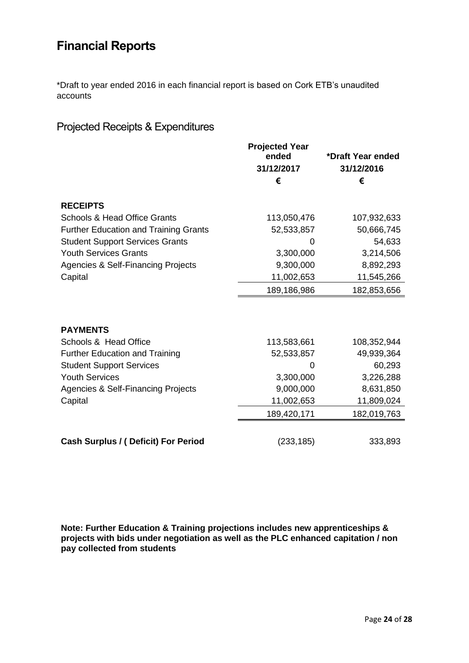# <span id="page-23-0"></span>**Financial Reports**

\*Draft to year ended 2016 in each financial report is based on Cork ETB's unaudited accounts

# <span id="page-23-1"></span>Projected Receipts & Expenditures

|                                               | <b>Projected Year</b><br>ended | *Draft Year ended |
|-----------------------------------------------|--------------------------------|-------------------|
|                                               | 31/12/2017                     | 31/12/2016        |
|                                               | €                              | €                 |
|                                               |                                |                   |
| <b>RECEIPTS</b>                               |                                |                   |
| <b>Schools &amp; Head Office Grants</b>       | 113,050,476                    | 107,932,633       |
| <b>Further Education and Training Grants</b>  | 52,533,857                     | 50,666,745        |
| <b>Student Support Services Grants</b>        | 0                              | 54,633            |
| <b>Youth Services Grants</b>                  | 3,300,000                      | 3,214,506         |
| <b>Agencies &amp; Self-Financing Projects</b> | 9,300,000                      | 8,892,293         |
| Capital                                       | 11,002,653                     | 11,545,266        |
|                                               | 189,186,986                    | 182,853,656       |
|                                               |                                |                   |
| <b>PAYMENTS</b>                               |                                |                   |
| Schools & Head Office                         | 113,583,661                    | 108,352,944       |
| <b>Further Education and Training</b>         | 52,533,857                     | 49,939,364        |
| <b>Student Support Services</b>               | 0                              | 60,293            |
| <b>Youth Services</b>                         | 3,300,000                      | 3,226,288         |
| <b>Agencies &amp; Self-Financing Projects</b> | 9,000,000                      | 8,631,850         |
| Capital                                       | 11,002,653                     | 11,809,024        |
|                                               | 189,420,171                    | 182,019,763       |
|                                               |                                |                   |
| Cash Surplus / (Deficit) For Period           | (233, 185)                     | 333,893           |

**Note: Further Education & Training projections includes new apprenticeships & projects with bids under negotiation as well as the PLC enhanced capitation / non pay collected from students**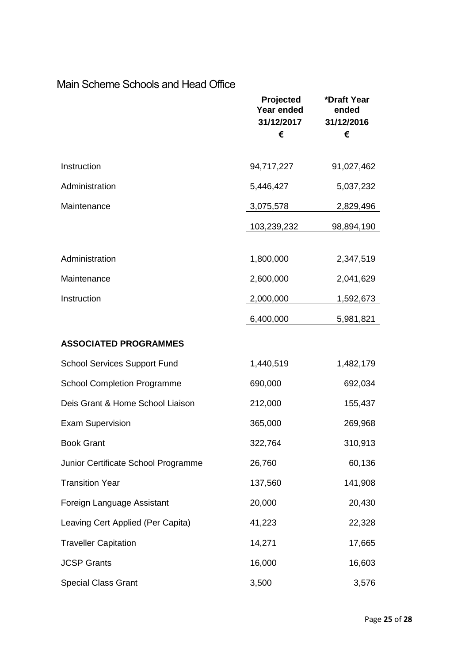#### **Projected Year ended \*Draft Year ended 31/12/2017 31/12/2016 € € Instruction** 94,717,227 91,027,462 Administration 5,446,427 5,037,232 **Maintenance** 3,075,578 2,829,496 103,239,232 98,894,190 Administration 1,800,000 2,347,519 Maintenance 2,600,000 2,041,629 **Instruction** 2,000,000 1,592,673 6,400,000 5,981,821 **ASSOCIATED PROGRAMMES** School Services Support Fund 1,440,519 1,482,179 School Completion Programme 690,000 692,034 Deis Grant & Home School Liaison 212,000 155,437 Exam Supervision 365,000 269,968 Book Grant 322,764 310,913 Junior Certificate School Programme 26,760 60,136 Transition Year 137,560 141,908 Foreign Language Assistant 20,000 20,430 Leaving Cert Applied (Per Capita) 41,223 22,328 Traveller Capitation 14,271 17,665 JCSP Grants 16,000 16,603 Special Class Grant 3,500 3,576

# <span id="page-24-0"></span>Main Scheme Schools and Head Office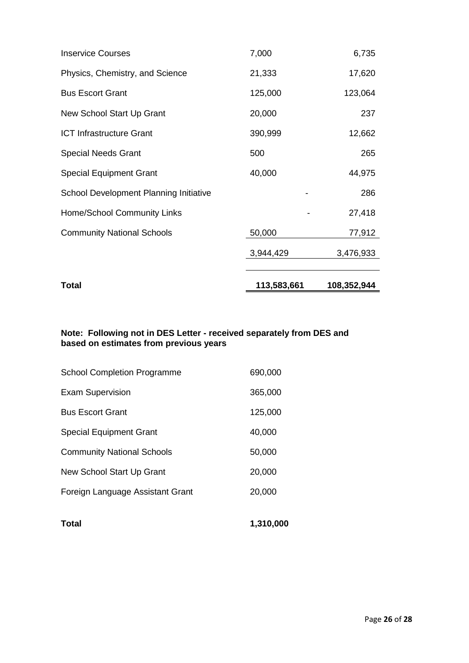| Total                                  | 113,583,661 | 108,352,944 |
|----------------------------------------|-------------|-------------|
|                                        | 3,944,429   | 3,476,933   |
| <b>Community National Schools</b>      | 50,000      | 77,912      |
| Home/School Community Links            |             | 27,418      |
| School Development Planning Initiative |             | 286         |
| <b>Special Equipment Grant</b>         | 40,000      | 44,975      |
| <b>Special Needs Grant</b>             | 500         | 265         |
| <b>ICT Infrastructure Grant</b>        | 390,999     | 12,662      |
| New School Start Up Grant              | 20,000      | 237         |
| <b>Bus Escort Grant</b>                | 125,000     | 123,064     |
| Physics, Chemistry, and Science        | 21,333      | 17,620      |
| <b>Inservice Courses</b>               | 7,000       | 6,735       |

#### **Note: Following not in DES Letter - received separately from DES and based on estimates from previous years**

| Total                              | 1,310,000 |
|------------------------------------|-----------|
| Foreign Language Assistant Grant   | 20,000    |
| New School Start Up Grant          | 20,000    |
| <b>Community National Schools</b>  | 50,000    |
| <b>Special Equipment Grant</b>     | 40,000    |
| <b>Bus Escort Grant</b>            | 125,000   |
| <b>Exam Supervision</b>            | 365,000   |
| <b>School Completion Programme</b> | 690,000   |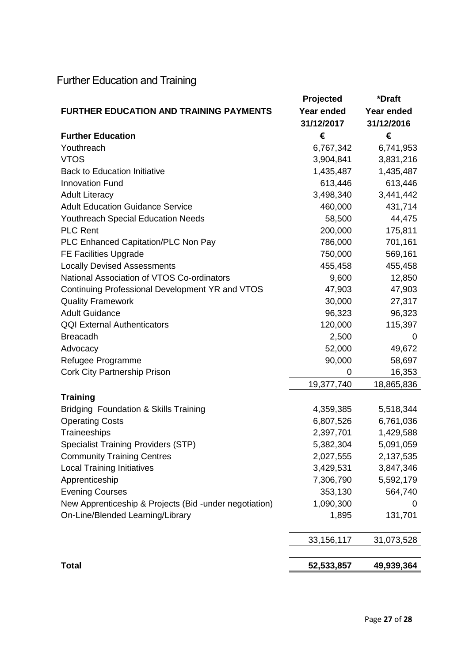# <span id="page-26-0"></span>Further Education and Training

|                                                         | Projected    | *Draft     |
|---------------------------------------------------------|--------------|------------|
| <b>FURTHER EDUCATION AND TRAINING PAYMENTS</b>          | Year ended   | Year ended |
|                                                         | 31/12/2017   | 31/12/2016 |
| <b>Further Education</b>                                | €            | €          |
| Youthreach                                              | 6,767,342    | 6,741,953  |
| <b>VTOS</b>                                             | 3,904,841    | 3,831,216  |
| <b>Back to Education Initiative</b>                     | 1,435,487    | 1,435,487  |
| <b>Innovation Fund</b>                                  | 613,446      | 613,446    |
| <b>Adult Literacy</b>                                   | 3,498,340    | 3,441,442  |
| <b>Adult Education Guidance Service</b>                 | 460,000      | 431,714    |
| <b>Youthreach Special Education Needs</b>               | 58,500       | 44,475     |
| <b>PLC Rent</b>                                         | 200,000      | 175,811    |
| PLC Enhanced Capitation/PLC Non Pay                     | 786,000      | 701,161    |
| <b>FE Facilities Upgrade</b>                            | 750,000      | 569,161    |
| <b>Locally Devised Assessments</b>                      | 455,458      | 455,458    |
| National Association of VTOS Co-ordinators              | 9,600        | 12,850     |
| Continuing Professional Development YR and VTOS         | 47,903       | 47,903     |
| <b>Quality Framework</b>                                | 30,000       | 27,317     |
| <b>Adult Guidance</b>                                   | 96,323       | 96,323     |
| <b>QQI External Authenticators</b>                      | 120,000      | 115,397    |
| <b>Breacadh</b>                                         | 2,500        | 0          |
| Advocacy                                                | 52,000       | 49,672     |
| Refugee Programme                                       | 90,000       | 58,697     |
| <b>Cork City Partnership Prison</b>                     | 0            | 16,353     |
|                                                         | 19,377,740   | 18,865,836 |
| <b>Training</b>                                         |              |            |
| <b>Bridging Foundation &amp; Skills Training</b>        | 4,359,385    | 5,518,344  |
| <b>Operating Costs</b>                                  | 6,807,526    | 6,761,036  |
| Traineeships                                            | 2,397,701    | 1,429,588  |
| <b>Specialist Training Providers (STP)</b>              | 5,382,304    | 5,091,059  |
| <b>Community Training Centres</b>                       | 2,027,555    | 2,137,535  |
| <b>Local Training Initiatives</b>                       | 3,429,531    | 3,847,346  |
| Apprenticeship                                          | 7,306,790    | 5,592,179  |
| <b>Evening Courses</b>                                  | 353,130      | 564,740    |
| New Apprenticeship & Projects (Bid - under negotiation) | 1,090,300    | 0          |
| On-Line/Blended Learning/Library                        | 1,895        | 131,701    |
|                                                         | 33, 156, 117 | 31,073,528 |
|                                                         |              |            |
| <b>Total</b>                                            | 52,533,857   | 49,939,364 |